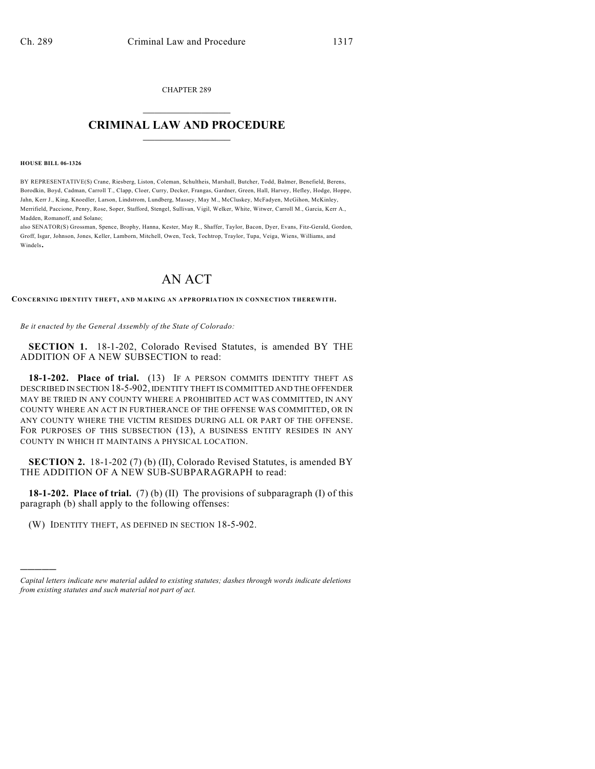CHAPTER 289  $\mathcal{L}_\text{max}$  . The set of the set of the set of the set of the set of the set of the set of the set of the set of the set of the set of the set of the set of the set of the set of the set of the set of the set of the set

## **CRIMINAL LAW AND PROCEDURE**  $\frac{1}{2}$  ,  $\frac{1}{2}$  ,  $\frac{1}{2}$  ,  $\frac{1}{2}$  ,  $\frac{1}{2}$  ,  $\frac{1}{2}$  ,  $\frac{1}{2}$

**HOUSE BILL 06-1326**

)))))

BY REPRESENTATIVE(S) Crane, Riesberg, Liston, Coleman, Schultheis, Marshall, Butcher, Todd, Balmer, Benefield, Berens, Borodkin, Boyd, Cadman, Carroll T., Clapp, Cloer, Curry, Decker, Frangas, Gardner, Green, Hall, Harvey, Hefley, Hodge, Hoppe, Jahn, Kerr J., King, Knoedler, Larson, Lindstrom, Lundberg, Massey, May M., McCluskey, McFadyen, McGihon, McKinley, Merrifield, Paccione, Penry, Rose, Soper, Stafford, Stengel, Sullivan, Vigil, Welker, White, Witwer, Carroll M., Garcia, Kerr A., Madden, Romanoff, and Solano;

also SENATOR(S) Grossman, Spence, Brophy, Hanna, Kester, May R., Shaffer, Taylor, Bacon, Dyer, Evans, Fitz-Gerald, Gordon, Groff, Isgar, Johnson, Jones, Keller, Lamborn, Mitchell, Owen, Teck, Tochtrop, Traylor, Tupa, Veiga, Wiens, Williams, and Windels.

## AN ACT

**CONCERNING IDENTITY THEFT, AND MAKING AN APPROPRIATION IN CONNECTION THEREWITH.**

*Be it enacted by the General Assembly of the State of Colorado:*

**SECTION 1.** 18-1-202, Colorado Revised Statutes, is amended BY THE ADDITION OF A NEW SUBSECTION to read:

**18-1-202. Place of trial.** (13) IF A PERSON COMMITS IDENTITY THEFT AS DESCRIBED IN SECTION 18-5-902, IDENTITY THEFT IS COMMITTED AND THE OFFENDER MAY BE TRIED IN ANY COUNTY WHERE A PROHIBITED ACT WAS COMMITTED, IN ANY COUNTY WHERE AN ACT IN FURTHERANCE OF THE OFFENSE WAS COMMITTED, OR IN ANY COUNTY WHERE THE VICTIM RESIDES DURING ALL OR PART OF THE OFFENSE. FOR PURPOSES OF THIS SUBSECTION (13), A BUSINESS ENTITY RESIDES IN ANY COUNTY IN WHICH IT MAINTAINS A PHYSICAL LOCATION.

**SECTION 2.** 18-1-202 (7) (b) (II), Colorado Revised Statutes, is amended BY THE ADDITION OF A NEW SUB-SUBPARAGRAPH to read:

**18-1-202. Place of trial.** (7) (b) (II) The provisions of subparagraph (I) of this paragraph (b) shall apply to the following offenses:

(W) IDENTITY THEFT, AS DEFINED IN SECTION 18-5-902.

*Capital letters indicate new material added to existing statutes; dashes through words indicate deletions from existing statutes and such material not part of act.*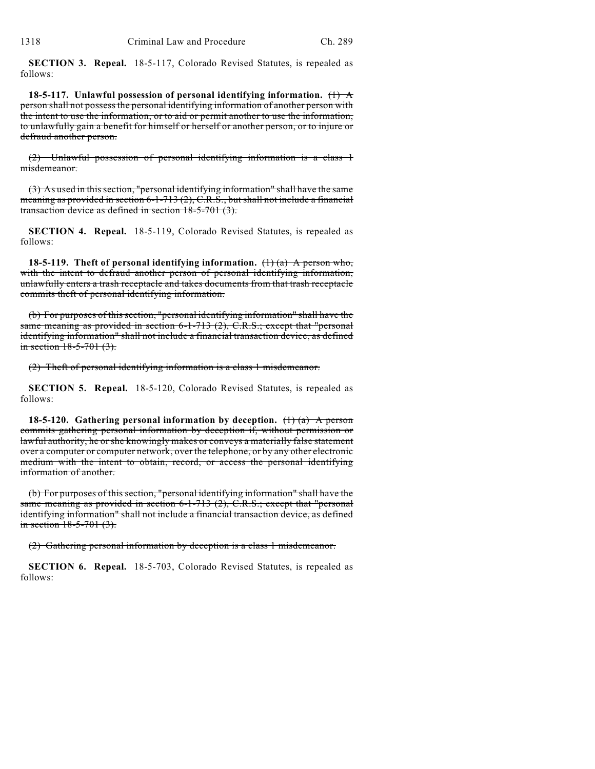**SECTION 3. Repeal.** 18-5-117, Colorado Revised Statutes, is repealed as follows:

**18-5-117. Unlawful possession of personal identifying information.** (1) A person shall not possess the personal identifying information of another person with the intent to use the information, or to aid or permit another to use the information, to unlawfully gain a benefit for himself or herself or another person, or to injure or defraud another person.

(2) Unlawful possession of personal identifying information is a class 1 misdemeanor.

(3) As used in this section, "personal identifying information" shall have the same meaning as provided in section 6-1-713 (2), C.R.S., but shall not include a financial transaction device as defined in section 18-5-701 (3).

**SECTION 4. Repeal.** 18-5-119, Colorado Revised Statutes, is repealed as follows:

**18-5-119. Theft of personal identifying information.** (1) (a) A person who, with the intent to defraud another person of personal identifying information, unlawfully enters a trash receptacle and takes documents from that trash receptacle commits theft of personal identifying information.

(b) For purposes of this section, "personal identifying information" shall have the same meaning as provided in section 6-1-713 (2), C.R.S.; except that "personal identifying information" shall not include a financial transaction device, as defined in section  $18-5-701(3)$ .

(2) Theft of personal identifying information is a class 1 misdemeanor.

**SECTION 5. Repeal.** 18-5-120, Colorado Revised Statutes, is repealed as follows:

**18-5-120.** Gathering personal information by deception.  $\left(\frac{1}{a}\right)$  A person commits gathering personal information by deception if, without permission or lawful authority, he or she knowingly makes or conveys a materially false statement over a computer or computer network, over the telephone, or by any other electronic medium with the intent to obtain, record, or access the personal identifying information of another.

(b) For purposes of this section, "personal identifying information" shall have the same meaning as provided in section 6-1-713 (2), C.R.S.; except that "personal identifying information" shall not include a financial transaction device, as defined in section  $18-5-701$   $(3)$ .

(2) Gathering personal information by deception is a class 1 misdemeanor.

**SECTION 6. Repeal.** 18-5-703, Colorado Revised Statutes, is repealed as follows: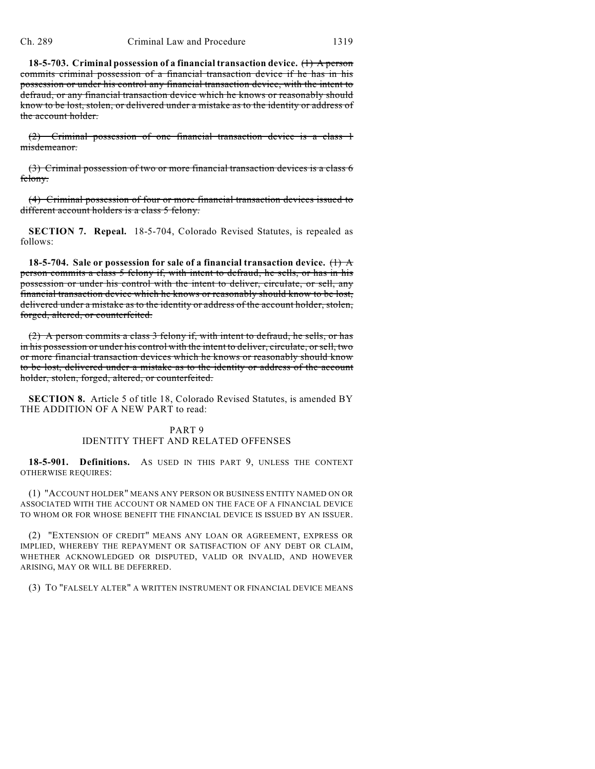**18-5-703. Criminal possession of a financial transaction device.** (1) A person commits criminal possession of a financial transaction device if he has in his possession or under his control any financial transaction device, with the intent to defraud, or any financial transaction device which he knows or reasonably should know to be lost, stolen, or delivered under a mistake as to the identity or address of the account holder.

(2) Criminal possession of one financial transaction device is a class 1 misdemeanor.

(3) Criminal possession of two or more financial transaction devices is a class 6 felony.

(4) Criminal possession of four or more financial transaction devices issued to different account holders is a class 5 felony.

**SECTION 7. Repeal.** 18-5-704, Colorado Revised Statutes, is repealed as follows:

**18-5-704. Sale or possession for sale of a financial transaction device.** (1) A person commits a class 5 felony if, with intent to defraud, he sells, or has in his possession or under his control with the intent to deliver, circulate, or sell, any financial transaction device which he knows or reasonably should know to be lost, delivered under a mistake as to the identity or address of the account holder, stolen, forged, altered, or counterfeited.

(2) A person commits a class 3 felony if, with intent to defraud, he sells, or has in his possession or under his control with the intent to deliver, circulate, or sell, two or more financial transaction devices which he knows or reasonably should know to be lost, delivered under a mistake as to the identity or address of the account holder, stolen, forged, altered, or counterfeited.

**SECTION 8.** Article 5 of title 18, Colorado Revised Statutes, is amended BY THE ADDITION OF A NEW PART to read:

## PART 9 IDENTITY THEFT AND RELATED OFFENSES

**18-5-901. Definitions.** AS USED IN THIS PART 9, UNLESS THE CONTEXT OTHERWISE REQUIRES:

(1) "ACCOUNT HOLDER" MEANS ANY PERSON OR BUSINESS ENTITY NAMED ON OR ASSOCIATED WITH THE ACCOUNT OR NAMED ON THE FACE OF A FINANCIAL DEVICE TO WHOM OR FOR WHOSE BENEFIT THE FINANCIAL DEVICE IS ISSUED BY AN ISSUER.

(2) "EXTENSION OF CREDIT" MEANS ANY LOAN OR AGREEMENT, EXPRESS OR IMPLIED, WHEREBY THE REPAYMENT OR SATISFACTION OF ANY DEBT OR CLAIM, WHETHER ACKNOWLEDGED OR DISPUTED, VALID OR INVALID, AND HOWEVER ARISING, MAY OR WILL BE DEFERRED.

(3) TO "FALSELY ALTER" A WRITTEN INSTRUMENT OR FINANCIAL DEVICE MEANS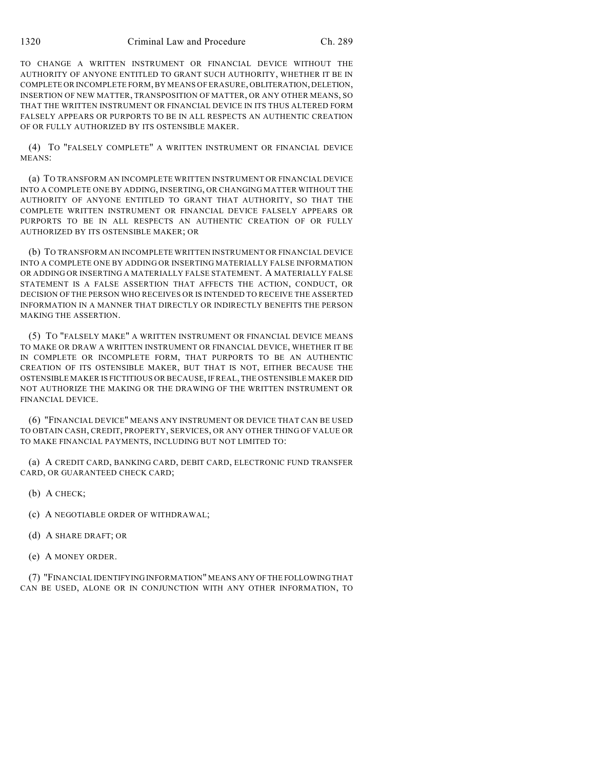TO CHANGE A WRITTEN INSTRUMENT OR FINANCIAL DEVICE WITHOUT THE AUTHORITY OF ANYONE ENTITLED TO GRANT SUCH AUTHORITY, WHETHER IT BE IN COMPLETE OR INCOMPLETE FORM, BY MEANS OF ERASURE, OBLITERATION, DELETION, INSERTION OF NEW MATTER, TRANSPOSITION OF MATTER, OR ANY OTHER MEANS, SO THAT THE WRITTEN INSTRUMENT OR FINANCIAL DEVICE IN ITS THUS ALTERED FORM FALSELY APPEARS OR PURPORTS TO BE IN ALL RESPECTS AN AUTHENTIC CREATION OF OR FULLY AUTHORIZED BY ITS OSTENSIBLE MAKER.

(4) TO "FALSELY COMPLETE" A WRITTEN INSTRUMENT OR FINANCIAL DEVICE MEANS:

(a) TO TRANSFORM AN INCOMPLETE WRITTEN INSTRUMENT OR FINANCIAL DEVICE INTO A COMPLETE ONE BY ADDING, INSERTING, OR CHANGING MATTER WITHOUT THE AUTHORITY OF ANYONE ENTITLED TO GRANT THAT AUTHORITY, SO THAT THE COMPLETE WRITTEN INSTRUMENT OR FINANCIAL DEVICE FALSELY APPEARS OR PURPORTS TO BE IN ALL RESPECTS AN AUTHENTIC CREATION OF OR FULLY AUTHORIZED BY ITS OSTENSIBLE MAKER; OR

(b) TO TRANSFORM AN INCOMPLETE WRITTEN INSTRUMENT OR FINANCIAL DEVICE INTO A COMPLETE ONE BY ADDING OR INSERTING MATERIALLY FALSE INFORMATION OR ADDING OR INSERTING A MATERIALLY FALSE STATEMENT. A MATERIALLY FALSE STATEMENT IS A FALSE ASSERTION THAT AFFECTS THE ACTION, CONDUCT, OR DECISION OF THE PERSON WHO RECEIVES OR IS INTENDED TO RECEIVE THE ASSERTED INFORMATION IN A MANNER THAT DIRECTLY OR INDIRECTLY BENEFITS THE PERSON MAKING THE ASSERTION.

(5) TO "FALSELY MAKE" A WRITTEN INSTRUMENT OR FINANCIAL DEVICE MEANS TO MAKE OR DRAW A WRITTEN INSTRUMENT OR FINANCIAL DEVICE, WHETHER IT BE IN COMPLETE OR INCOMPLETE FORM, THAT PURPORTS TO BE AN AUTHENTIC CREATION OF ITS OSTENSIBLE MAKER, BUT THAT IS NOT, EITHER BECAUSE THE OSTENSIBLE MAKER IS FICTITIOUS OR BECAUSE, IF REAL, THE OSTENSIBLE MAKER DID NOT AUTHORIZE THE MAKING OR THE DRAWING OF THE WRITTEN INSTRUMENT OR FINANCIAL DEVICE.

(6) "FINANCIAL DEVICE" MEANS ANY INSTRUMENT OR DEVICE THAT CAN BE USED TO OBTAIN CASH, CREDIT, PROPERTY, SERVICES, OR ANY OTHER THING OF VALUE OR TO MAKE FINANCIAL PAYMENTS, INCLUDING BUT NOT LIMITED TO:

(a) A CREDIT CARD, BANKING CARD, DEBIT CARD, ELECTRONIC FUND TRANSFER CARD, OR GUARANTEED CHECK CARD;

(b) A CHECK;

- (c) A NEGOTIABLE ORDER OF WITHDRAWAL;
- (d) A SHARE DRAFT; OR
- (e) A MONEY ORDER.

(7) "FINANCIAL IDENTIFYING INFORMATION" MEANS ANY OF THE FOLLOWING THAT CAN BE USED, ALONE OR IN CONJUNCTION WITH ANY OTHER INFORMATION, TO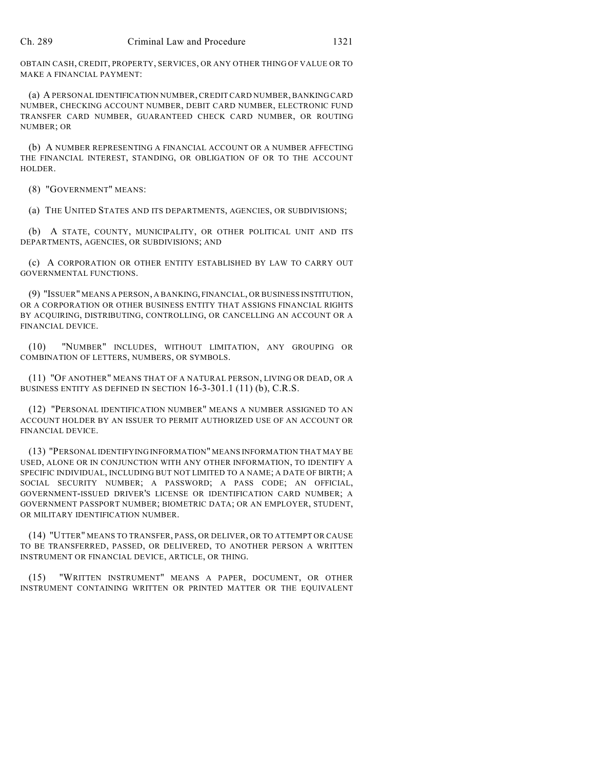OBTAIN CASH, CREDIT, PROPERTY, SERVICES, OR ANY OTHER THING OF VALUE OR TO MAKE A FINANCIAL PAYMENT:

(a) A PERSONAL IDENTIFICATION NUMBER, CREDIT CARD NUMBER, BANKING CARD NUMBER, CHECKING ACCOUNT NUMBER, DEBIT CARD NUMBER, ELECTRONIC FUND TRANSFER CARD NUMBER, GUARANTEED CHECK CARD NUMBER, OR ROUTING NUMBER; OR

(b) A NUMBER REPRESENTING A FINANCIAL ACCOUNT OR A NUMBER AFFECTING THE FINANCIAL INTEREST, STANDING, OR OBLIGATION OF OR TO THE ACCOUNT HOLDER.

(8) "GOVERNMENT" MEANS:

(a) THE UNITED STATES AND ITS DEPARTMENTS, AGENCIES, OR SUBDIVISIONS;

(b) A STATE, COUNTY, MUNICIPALITY, OR OTHER POLITICAL UNIT AND ITS DEPARTMENTS, AGENCIES, OR SUBDIVISIONS; AND

(c) A CORPORATION OR OTHER ENTITY ESTABLISHED BY LAW TO CARRY OUT GOVERNMENTAL FUNCTIONS.

(9) "ISSUER" MEANS A PERSON, A BANKING, FINANCIAL, OR BUSINESS INSTITUTION, OR A CORPORATION OR OTHER BUSINESS ENTITY THAT ASSIGNS FINANCIAL RIGHTS BY ACQUIRING, DISTRIBUTING, CONTROLLING, OR CANCELLING AN ACCOUNT OR A FINANCIAL DEVICE.

(10) "NUMBER" INCLUDES, WITHOUT LIMITATION, ANY GROUPING OR COMBINATION OF LETTERS, NUMBERS, OR SYMBOLS.

(11) "OF ANOTHER" MEANS THAT OF A NATURAL PERSON, LIVING OR DEAD, OR A BUSINESS ENTITY AS DEFINED IN SECTION 16-3-301.1 (11) (b), C.R.S.

(12) "PERSONAL IDENTIFICATION NUMBER" MEANS A NUMBER ASSIGNED TO AN ACCOUNT HOLDER BY AN ISSUER TO PERMIT AUTHORIZED USE OF AN ACCOUNT OR FINANCIAL DEVICE.

(13) "PERSONAL IDENTIFYING INFORMATION" MEANS INFORMATION THAT MAY BE USED, ALONE OR IN CONJUNCTION WITH ANY OTHER INFORMATION, TO IDENTIFY A SPECIFIC INDIVIDUAL, INCLUDING BUT NOT LIMITED TO A NAME; A DATE OF BIRTH; A SOCIAL SECURITY NUMBER; A PASSWORD; A PASS CODE; AN OFFICIAL, GOVERNMENT-ISSUED DRIVER'S LICENSE OR IDENTIFICATION CARD NUMBER; A GOVERNMENT PASSPORT NUMBER; BIOMETRIC DATA; OR AN EMPLOYER, STUDENT, OR MILITARY IDENTIFICATION NUMBER.

(14) "UTTER" MEANS TO TRANSFER, PASS, OR DELIVER, OR TO ATTEMPT OR CAUSE TO BE TRANSFERRED, PASSED, OR DELIVERED, TO ANOTHER PERSON A WRITTEN INSTRUMENT OR FINANCIAL DEVICE, ARTICLE, OR THING.

(15) "WRITTEN INSTRUMENT" MEANS A PAPER, DOCUMENT, OR OTHER INSTRUMENT CONTAINING WRITTEN OR PRINTED MATTER OR THE EQUIVALENT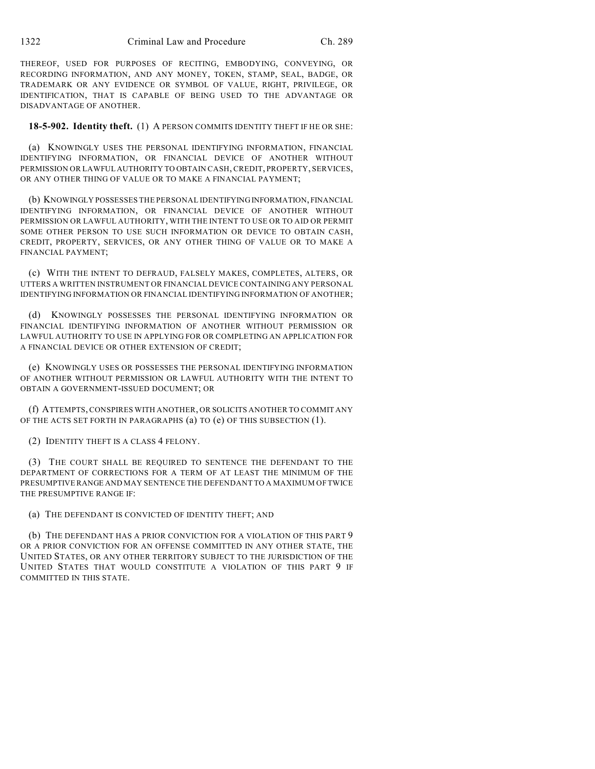THEREOF, USED FOR PURPOSES OF RECITING, EMBODYING, CONVEYING, OR RECORDING INFORMATION, AND ANY MONEY, TOKEN, STAMP, SEAL, BADGE, OR TRADEMARK OR ANY EVIDENCE OR SYMBOL OF VALUE, RIGHT, PRIVILEGE, OR IDENTIFICATION, THAT IS CAPABLE OF BEING USED TO THE ADVANTAGE OR DISADVANTAGE OF ANOTHER.

**18-5-902. Identity theft.** (1) A PERSON COMMITS IDENTITY THEFT IF HE OR SHE:

(a) KNOWINGLY USES THE PERSONAL IDENTIFYING INFORMATION, FINANCIAL IDENTIFYING INFORMATION, OR FINANCIAL DEVICE OF ANOTHER WITHOUT PERMISSION OR LAWFUL AUTHORITY TO OBTAIN CASH, CREDIT, PROPERTY, SERVICES, OR ANY OTHER THING OF VALUE OR TO MAKE A FINANCIAL PAYMENT;

(b) KNOWINGLY POSSESSES THE PERSONAL IDENTIFYING INFORMATION, FINANCIAL IDENTIFYING INFORMATION, OR FINANCIAL DEVICE OF ANOTHER WITHOUT PERMISSION OR LAWFUL AUTHORITY, WITH THE INTENT TO USE OR TO AID OR PERMIT SOME OTHER PERSON TO USE SUCH INFORMATION OR DEVICE TO OBTAIN CASH, CREDIT, PROPERTY, SERVICES, OR ANY OTHER THING OF VALUE OR TO MAKE A FINANCIAL PAYMENT;

(c) WITH THE INTENT TO DEFRAUD, FALSELY MAKES, COMPLETES, ALTERS, OR UTTERS A WRITTEN INSTRUMENT OR FINANCIAL DEVICE CONTAINING ANY PERSONAL IDENTIFYING INFORMATION OR FINANCIAL IDENTIFYING INFORMATION OF ANOTHER;

(d) KNOWINGLY POSSESSES THE PERSONAL IDENTIFYING INFORMATION OR FINANCIAL IDENTIFYING INFORMATION OF ANOTHER WITHOUT PERMISSION OR LAWFUL AUTHORITY TO USE IN APPLYING FOR OR COMPLETING AN APPLICATION FOR A FINANCIAL DEVICE OR OTHER EXTENSION OF CREDIT;

(e) KNOWINGLY USES OR POSSESSES THE PERSONAL IDENTIFYING INFORMATION OF ANOTHER WITHOUT PERMISSION OR LAWFUL AUTHORITY WITH THE INTENT TO OBTAIN A GOVERNMENT-ISSUED DOCUMENT; OR

(f) ATTEMPTS, CONSPIRES WITH ANOTHER, OR SOLICITS ANOTHER TO COMMIT ANY OF THE ACTS SET FORTH IN PARAGRAPHS (a) TO (e) OF THIS SUBSECTION (1).

(2) IDENTITY THEFT IS A CLASS 4 FELONY.

(3) THE COURT SHALL BE REQUIRED TO SENTENCE THE DEFENDANT TO THE DEPARTMENT OF CORRECTIONS FOR A TERM OF AT LEAST THE MINIMUM OF THE PRESUMPTIVE RANGE AND MAY SENTENCE THE DEFENDANT TO A MAXIMUM OF TWICE THE PRESUMPTIVE RANGE IF:

(a) THE DEFENDANT IS CONVICTED OF IDENTITY THEFT; AND

(b) THE DEFENDANT HAS A PRIOR CONVICTION FOR A VIOLATION OF THIS PART 9 OR A PRIOR CONVICTION FOR AN OFFENSE COMMITTED IN ANY OTHER STATE, THE UNITED STATES, OR ANY OTHER TERRITORY SUBJECT TO THE JURISDICTION OF THE UNITED STATES THAT WOULD CONSTITUTE A VIOLATION OF THIS PART 9 IF COMMITTED IN THIS STATE.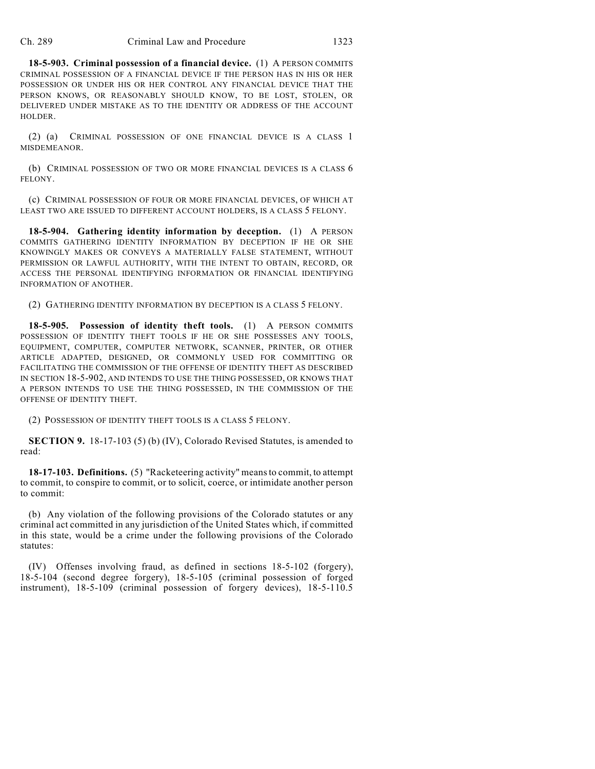**18-5-903. Criminal possession of a financial device.** (1) A PERSON COMMITS CRIMINAL POSSESSION OF A FINANCIAL DEVICE IF THE PERSON HAS IN HIS OR HER POSSESSION OR UNDER HIS OR HER CONTROL ANY FINANCIAL DEVICE THAT THE PERSON KNOWS, OR REASONABLY SHOULD KNOW, TO BE LOST, STOLEN, OR DELIVERED UNDER MISTAKE AS TO THE IDENTITY OR ADDRESS OF THE ACCOUNT HOLDER.

(2) (a) CRIMINAL POSSESSION OF ONE FINANCIAL DEVICE IS A CLASS 1 MISDEMEANOR.

(b) CRIMINAL POSSESSION OF TWO OR MORE FINANCIAL DEVICES IS A CLASS 6 FELONY.

(c) CRIMINAL POSSESSION OF FOUR OR MORE FINANCIAL DEVICES, OF WHICH AT LEAST TWO ARE ISSUED TO DIFFERENT ACCOUNT HOLDERS, IS A CLASS 5 FELONY.

**18-5-904. Gathering identity information by deception.** (1) A PERSON COMMITS GATHERING IDENTITY INFORMATION BY DECEPTION IF HE OR SHE KNOWINGLY MAKES OR CONVEYS A MATERIALLY FALSE STATEMENT, WITHOUT PERMISSION OR LAWFUL AUTHORITY, WITH THE INTENT TO OBTAIN, RECORD, OR ACCESS THE PERSONAL IDENTIFYING INFORMATION OR FINANCIAL IDENTIFYING INFORMATION OF ANOTHER.

(2) GATHERING IDENTITY INFORMATION BY DECEPTION IS A CLASS 5 FELONY.

**18-5-905. Possession of identity theft tools.** (1) A PERSON COMMITS POSSESSION OF IDENTITY THEFT TOOLS IF HE OR SHE POSSESSES ANY TOOLS, EQUIPMENT, COMPUTER, COMPUTER NETWORK, SCANNER, PRINTER, OR OTHER ARTICLE ADAPTED, DESIGNED, OR COMMONLY USED FOR COMMITTING OR FACILITATING THE COMMISSION OF THE OFFENSE OF IDENTITY THEFT AS DESCRIBED IN SECTION 18-5-902, AND INTENDS TO USE THE THING POSSESSED, OR KNOWS THAT A PERSON INTENDS TO USE THE THING POSSESSED, IN THE COMMISSION OF THE OFFENSE OF IDENTITY THEFT.

(2) POSSESSION OF IDENTITY THEFT TOOLS IS A CLASS 5 FELONY.

**SECTION 9.** 18-17-103 (5) (b) (IV), Colorado Revised Statutes, is amended to read:

**18-17-103. Definitions.** (5) "Racketeering activity" means to commit, to attempt to commit, to conspire to commit, or to solicit, coerce, or intimidate another person to commit:

(b) Any violation of the following provisions of the Colorado statutes or any criminal act committed in any jurisdiction of the United States which, if committed in this state, would be a crime under the following provisions of the Colorado statutes:

(IV) Offenses involving fraud, as defined in sections 18-5-102 (forgery), 18-5-104 (second degree forgery), 18-5-105 (criminal possession of forged instrument), 18-5-109 (criminal possession of forgery devices), 18-5-110.5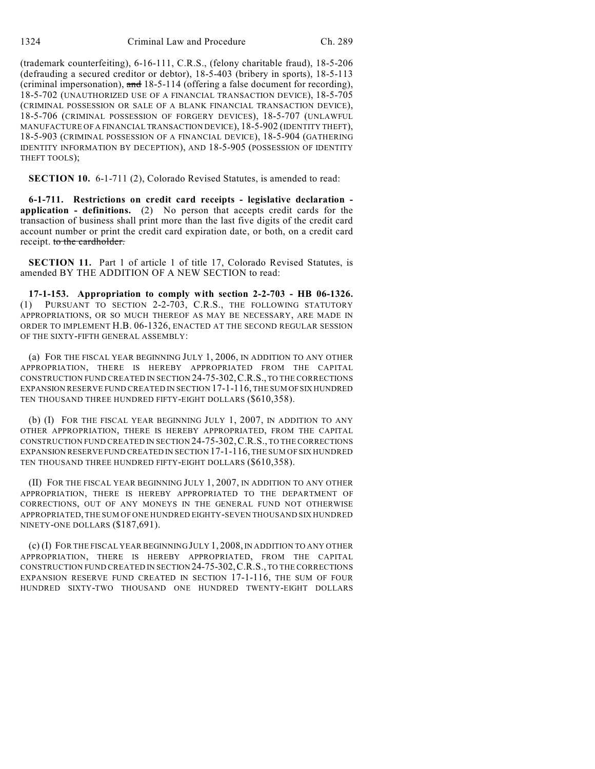(trademark counterfeiting), 6-16-111, C.R.S., (felony charitable fraud), 18-5-206 (defrauding a secured creditor or debtor), 18-5-403 (bribery in sports), 18-5-113 (criminal impersonation), and  $18-5-114$  (offering a false document for recording), 18-5-702 (UNAUTHORIZED USE OF A FINANCIAL TRANSACTION DEVICE), 18-5-705 (CRIMINAL POSSESSION OR SALE OF A BLANK FINANCIAL TRANSACTION DEVICE), 18-5-706 (CRIMINAL POSSESSION OF FORGERY DEVICES), 18-5-707 (UNLAWFUL MANUFACTURE OF A FINANCIAL TRANSACTION DEVICE), 18-5-902 (IDENTITY THEFT), 18-5-903 (CRIMINAL POSSESSION OF A FINANCIAL DEVICE), 18-5-904 (GATHERING IDENTITY INFORMATION BY DECEPTION), AND 18-5-905 (POSSESSION OF IDENTITY THEFT TOOLS);

**SECTION 10.** 6-1-711 (2), Colorado Revised Statutes, is amended to read:

**6-1-711. Restrictions on credit card receipts - legislative declaration application - definitions.** (2) No person that accepts credit cards for the transaction of business shall print more than the last five digits of the credit card account number or print the credit card expiration date, or both, on a credit card receipt. to the cardholder.

**SECTION 11.** Part 1 of article 1 of title 17, Colorado Revised Statutes, is amended BY THE ADDITION OF A NEW SECTION to read:

**17-1-153. Appropriation to comply with section 2-2-703 - HB 06-1326.** (1) PURSUANT TO SECTION 2-2-703, C.R.S., THE FOLLOWING STATUTORY APPROPRIATIONS, OR SO MUCH THEREOF AS MAY BE NECESSARY, ARE MADE IN ORDER TO IMPLEMENT H.B. 06-1326, ENACTED AT THE SECOND REGULAR SESSION OF THE SIXTY-FIFTH GENERAL ASSEMBLY:

(a) FOR THE FISCAL YEAR BEGINNING JULY 1, 2006, IN ADDITION TO ANY OTHER APPROPRIATION, THERE IS HEREBY APPROPRIATED FROM THE CAPITAL CONSTRUCTION FUND CREATED IN SECTION 24-75-302,C.R.S., TO THE CORRECTIONS EXPANSION RESERVE FUND CREATED IN SECTION 17-1-116, THE SUM OF SIX HUNDRED TEN THOUSAND THREE HUNDRED FIFTY-EIGHT DOLLARS (\$610,358).

(b) (I) FOR THE FISCAL YEAR BEGINNING JULY 1, 2007, IN ADDITION TO ANY OTHER APPROPRIATION, THERE IS HEREBY APPROPRIATED, FROM THE CAPITAL CONSTRUCTION FUND CREATED IN SECTION 24-75-302,C.R.S., TO THE CORRECTIONS EXPANSION RESERVE FUND CREATED IN SECTION 17-1-116, THE SUM OF SIX HUNDRED TEN THOUSAND THREE HUNDRED FIFTY-EIGHT DOLLARS (\$610,358).

(II) FOR THE FISCAL YEAR BEGINNING JULY 1, 2007, IN ADDITION TO ANY OTHER APPROPRIATION, THERE IS HEREBY APPROPRIATED TO THE DEPARTMENT OF CORRECTIONS, OUT OF ANY MONEYS IN THE GENERAL FUND NOT OTHERWISE APPROPRIATED, THE SUM OF ONE HUNDRED EIGHTY-SEVEN THOUSAND SIX HUNDRED NINETY-ONE DOLLARS (\$187,691).

(c) (I) FOR THE FISCAL YEAR BEGINNING JULY 1, 2008, IN ADDITION TO ANY OTHER APPROPRIATION, THERE IS HEREBY APPROPRIATED, FROM THE CAPITAL CONSTRUCTION FUND CREATED IN SECTION 24-75-302,C.R.S., TO THE CORRECTIONS EXPANSION RESERVE FUND CREATED IN SECTION 17-1-116, THE SUM OF FOUR HUNDRED SIXTY-TWO THOUSAND ONE HUNDRED TWENTY-EIGHT DOLLARS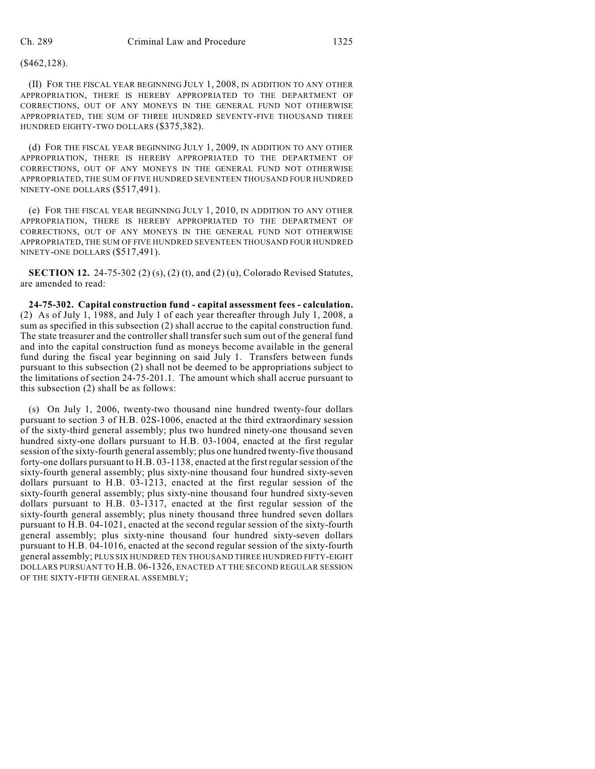## (\$462,128).

(II) FOR THE FISCAL YEAR BEGINNING JULY 1, 2008, IN ADDITION TO ANY OTHER APPROPRIATION, THERE IS HEREBY APPROPRIATED TO THE DEPARTMENT OF CORRECTIONS, OUT OF ANY MONEYS IN THE GENERAL FUND NOT OTHERWISE APPROPRIATED, THE SUM OF THREE HUNDRED SEVENTY-FIVE THOUSAND THREE HUNDRED EIGHTY-TWO DOLLARS (\$375,382).

(d) FOR THE FISCAL YEAR BEGINNING JULY 1, 2009, IN ADDITION TO ANY OTHER APPROPRIATION, THERE IS HEREBY APPROPRIATED TO THE DEPARTMENT OF CORRECTIONS, OUT OF ANY MONEYS IN THE GENERAL FUND NOT OTHERWISE APPROPRIATED, THE SUM OF FIVE HUNDRED SEVENTEEN THOUSAND FOUR HUNDRED NINETY-ONE DOLLARS (\$517,491).

(e) FOR THE FISCAL YEAR BEGINNING JULY 1, 2010, IN ADDITION TO ANY OTHER APPROPRIATION, THERE IS HEREBY APPROPRIATED TO THE DEPARTMENT OF CORRECTIONS, OUT OF ANY MONEYS IN THE GENERAL FUND NOT OTHERWISE APPROPRIATED, THE SUM OF FIVE HUNDRED SEVENTEEN THOUSAND FOUR HUNDRED NINETY-ONE DOLLARS (\$517,491).

**SECTION 12.** 24-75-302 (2) (s), (2) (t), and (2) (u), Colorado Revised Statutes, are amended to read:

**24-75-302. Capital construction fund - capital assessment fees - calculation.** (2) As of July 1, 1988, and July 1 of each year thereafter through July 1, 2008, a sum as specified in this subsection (2) shall accrue to the capital construction fund. The state treasurer and the controller shall transfer such sum out of the general fund and into the capital construction fund as moneys become available in the general fund during the fiscal year beginning on said July 1. Transfers between funds pursuant to this subsection (2) shall not be deemed to be appropriations subject to the limitations of section 24-75-201.1. The amount which shall accrue pursuant to this subsection (2) shall be as follows:

(s) On July 1, 2006, twenty-two thousand nine hundred twenty-four dollars pursuant to section 3 of H.B. 02S-1006, enacted at the third extraordinary session of the sixty-third general assembly; plus two hundred ninety-one thousand seven hundred sixty-one dollars pursuant to H.B. 03-1004, enacted at the first regular session of the sixty-fourth general assembly; plus one hundred twenty-five thousand forty-one dollars pursuant to H.B. 03-1138, enacted at the first regular session of the sixty-fourth general assembly; plus sixty-nine thousand four hundred sixty-seven dollars pursuant to H.B. 03-1213, enacted at the first regular session of the sixty-fourth general assembly; plus sixty-nine thousand four hundred sixty-seven dollars pursuant to H.B. 03-1317, enacted at the first regular session of the sixty-fourth general assembly; plus ninety thousand three hundred seven dollars pursuant to H.B. 04-1021, enacted at the second regular session of the sixty-fourth general assembly; plus sixty-nine thousand four hundred sixty-seven dollars pursuant to H.B. 04-1016, enacted at the second regular session of the sixty-fourth general assembly; PLUS SIX HUNDRED TEN THOUSAND THREE HUNDRED FIFTY-EIGHT DOLLARS PURSUANT TO H.B. 06-1326, ENACTED AT THE SECOND REGULAR SESSION OF THE SIXTY-FIFTH GENERAL ASSEMBLY;